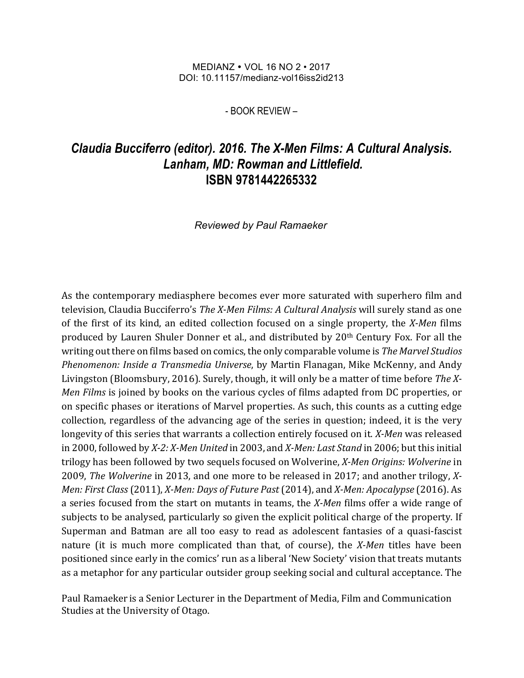## MEDIANZ VOL 16 NO 2 • 2017 DOI: 10.11157/medianz-vol16iss2id213

- BOOK REVIEW –

## *Claudia Bucciferro (editor). 2016. The X-Men Films: A Cultural Analysis. Lanham, MD: Rowman and Littlefield.* **ISBN 9781442265332**

*Reviewed by Paul Ramaeker*

As the contemporary mediasphere becomes ever more saturated with superhero film and television, Claudia Bucciferro's *The X-Men Films: A Cultural Analysis* will surely stand as one of the first of its kind, an edited collection focused on a single property, the *X-Men* films produced by Lauren Shuler Donner et al., and distributed by 20<sup>th</sup> Century Fox. For all the writing out there on films based on comics, the only comparable volume is *The Marvel Studios Phenomenon: Inside a Transmedia Universe*, by Martin Flanagan, Mike McKenny, and Andy Livingston (Bloomsbury, 2016). Surely, though, it will only be a matter of time before *The X-Men Films* is joined by books on the various cycles of films adapted from DC properties, or on specific phases or iterations of Marvel properties. As such, this counts as a cutting edge collection, regardless of the advancing age of the series in question; indeed, it is the very longevity of this series that warrants a collection entirely focused on it. *X-Men* was released in 2000, followed by *X-2: X-Men United* in 2003, and *X-Men: Last Stand* in 2006; but this initial trilogy has been followed by two sequels focused on Wolverine, *X-Men Origins: Wolverine* in 2009, *The Wolverine* in 2013, and one more to be released in 2017; and another trilogy, *X*-*Men: First Class* (2011), *X-Men: Days of Future Past* (2014), and *X-Men: Apocalypse* (2016). As a series focused from the start on mutants in teams, the *X-Men* films offer a wide range of subjects to be analysed, particularly so given the explicit political charge of the property. If Superman and Batman are all too easy to read as adolescent fantasies of a quasi-fascist nature (it is much more complicated than that, of course), the *X-Men* titles have been positioned since early in the comics' run as a liberal 'New Society' vision that treats mutants as a metaphor for any particular outsider group seeking social and cultural acceptance. The

Paul Ramaeker is a Senior Lecturer in the Department of Media, Film and Communication Studies at the University of Otago.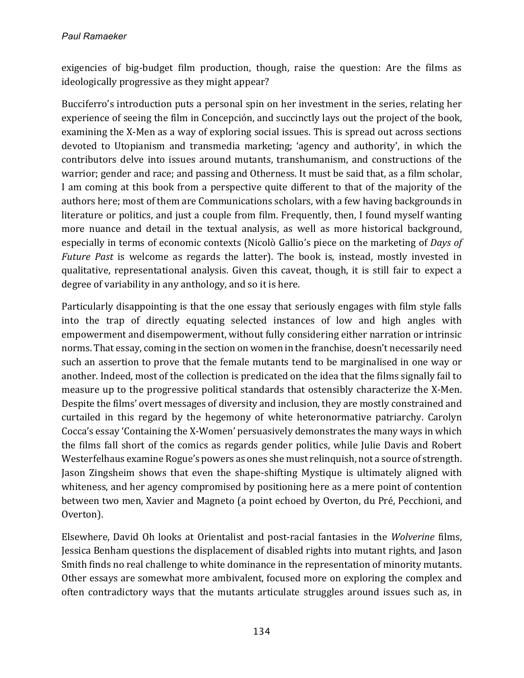exigencies of big-budget film production, though, raise the question: Are the films as ideologically progressive as they might appear?

Bucciferro's introduction puts a personal spin on her investment in the series, relating her experience of seeing the film in Concepción, and succinctly lays out the project of the book, examining the X-Men as a way of exploring social issues. This is spread out across sections devoted to Utopianism and transmedia marketing; 'agency and authority', in which the contributors delve into issues around mutants, transhumanism, and constructions of the warrior; gender and race; and passing and Otherness. It must be said that, as a film scholar, I am coming at this book from a perspective quite different to that of the majority of the authors here; most of them are Communications scholars, with a few having backgrounds in literature or politics, and just a couple from film. Frequently, then, I found myself wanting more nuance and detail in the textual analysis, as well as more historical background, especially in terms of economic contexts (Nicolò Gallio's piece on the marketing of *Days of Future Past* is welcome as regards the latter). The book is, instead, mostly invested in qualitative, representational analysis. Given this caveat, though, it is still fair to expect a degree of variability in any anthology, and so it is here.

Particularly disappointing is that the one essay that seriously engages with film style falls into the trap of directly equating selected instances of low and high angles with empowerment and disempowerment, without fully considering either narration or intrinsic norms. That essay, coming in the section on women in the franchise, doesn't necessarily need such an assertion to prove that the female mutants tend to be marginalised in one way or another. Indeed, most of the collection is predicated on the idea that the films signally fail to measure up to the progressive political standards that ostensibly characterize the X-Men. Despite the films' overt messages of diversity and inclusion, they are mostly constrained and curtailed in this regard by the hegemony of white heteronormative patriarchy. Carolyn Cocca's essay 'Containing the X-Women' persuasively demonstrates the many ways in which the films fall short of the comics as regards gender politics, while Julie Davis and Robert Westerfelhaus examine Rogue's powers as ones she must relinquish, not a source of strength. Jason Zingsheim shows that even the shape-shifting Mystique is ultimately aligned with whiteness, and her agency compromised by positioning here as a mere point of contention between two men, Xavier and Magneto (a point echoed by Overton, du Pré, Pecchioni, and Overton).

Elsewhere, David Oh looks at Orientalist and post-racial fantasies in the *Wolverine* films, Jessica Benham questions the displacement of disabled rights into mutant rights, and Jason Smith finds no real challenge to white dominance in the representation of minority mutants. Other essays are somewhat more ambivalent, focused more on exploring the complex and often contradictory ways that the mutants articulate struggles around issues such as, in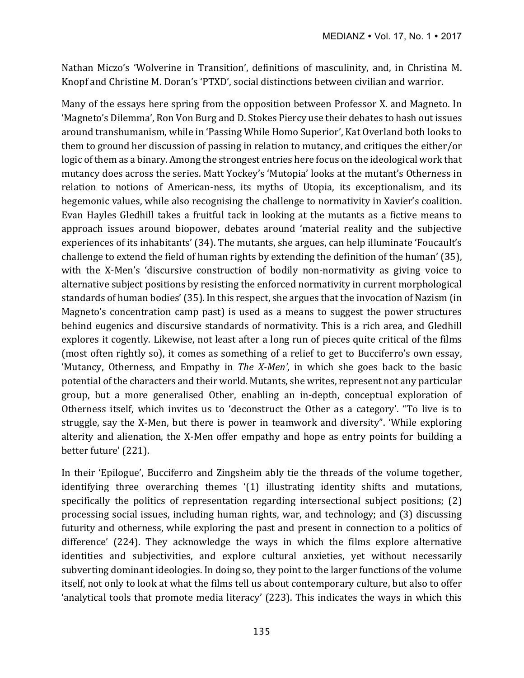Nathan Miczo's 'Wolverine in Transition', definitions of masculinity, and, in Christina M. Knopf and Christine M. Doran's 'PTXD', social distinctions between civilian and warrior.

Many of the essays here spring from the opposition between Professor X, and Magneto. In 'Magneto's Dilemma', Ron Von Burg and D. Stokes Piercy use their debates to hash out issues around transhumanism, while in 'Passing While Homo Superior', Kat Overland both looks to them to ground her discussion of passing in relation to mutancy, and critiques the either/or logic of them as a binary. Among the strongest entries here focus on the ideological work that mutancy does across the series. Matt Yockey's 'Mutopia' looks at the mutant's Otherness in relation to notions of American-ness, its myths of Utopia, its exceptionalism, and its hegemonic values, while also recognising the challenge to normativity in Xavier's coalition. Evan Hayles Gledhill takes a fruitful tack in looking at the mutants as a fictive means to approach issues around biopower, debates around 'material reality and the subjective experiences of its inhabitants' (34). The mutants, she argues, can help illuminate 'Foucault's challenge to extend the field of human rights by extending the definition of the human' (35), with the X-Men's 'discursive construction of bodily non-normativity as giving voice to alternative subject positions by resisting the enforced normativity in current morphological standards of human bodies' (35). In this respect, she argues that the invocation of Nazism (in Magneto's concentration camp past) is used as a means to suggest the power structures behind eugenics and discursive standards of normativity. This is a rich area, and Gledhill explores it cogently. Likewise, not least after a long run of pieces quite critical of the films (most often rightly so), it comes as something of a relief to get to Bucciferro's own essay, 'Mutancy, Otherness, and Empathy in *The X-Men'*, in which she goes back to the basic potential of the characters and their world. Mutants, she writes, represent not any particular group, but a more generalised Other, enabling an in-depth, conceptual exploration of Otherness itself, which invites us to 'deconstruct the Other as a category'. "To live is to struggle, say the X-Men, but there is power in teamwork and diversity". 'While exploring alterity and alienation, the X-Men offer empathy and hope as entry points for building a better future' (221).

In their 'Epilogue', Bucciferro and Zingsheim ably tie the threads of the volume together, identifying three overarching themes '(1) illustrating identity shifts and mutations, specifically the politics of representation regarding intersectional subject positions;  $(2)$ processing social issues, including human rights, war, and technology; and (3) discussing futurity and otherness, while exploring the past and present in connection to a politics of difference' (224). They acknowledge the ways in which the films explore alternative identities and subjectivities, and explore cultural anxieties, yet without necessarily subverting dominant ideologies. In doing so, they point to the larger functions of the volume itself, not only to look at what the films tell us about contemporary culture, but also to offer 'analytical tools that promote media literacy'  $(223)$ . This indicates the ways in which this